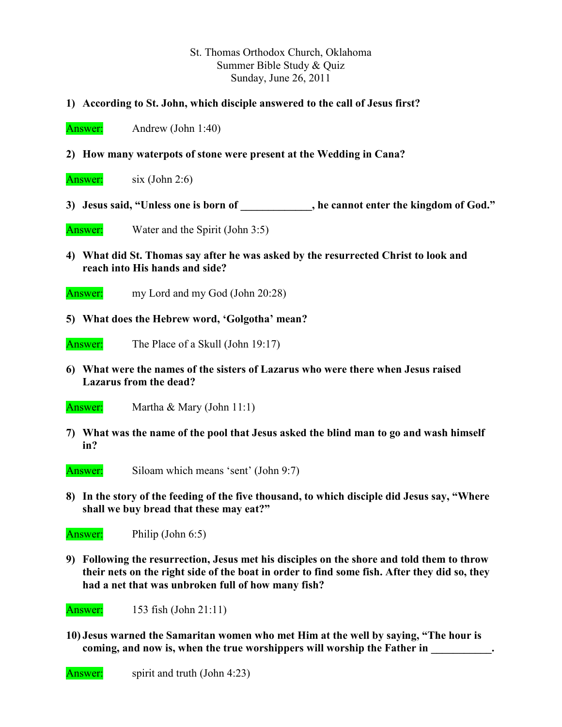## St. Thomas Orthodox Church, Oklahoma Summer Bible Study & Quiz Sunday, June 26, 2011

- **1) According to St. John, which disciple answered to the call of Jesus first?**
- Answer: Andrew (John 1:40)
- **2) How many waterpots of stone were present at the Wedding in Cana?**
- Answer:  $six (John 2:6)$
- **3) Jesus said, "Unless one is born of \_\_\_\_\_\_\_\_\_\_\_\_\_, he cannot enter the kingdom of God."**
- Answer: Water and the Spirit (John 3:5)
- **4) What did St. Thomas say after he was asked by the resurrected Christ to look and reach into His hands and side?**
- Answer: my Lord and my God (John 20:28)
- **5) What does the Hebrew word, 'Golgotha' mean?**
- Answer: The Place of a Skull (John 19:17)
- **6) What were the names of the sisters of Lazarus who were there when Jesus raised Lazarus from the dead?**
- Answer: Martha & Mary (John 11:1)
- **7) What was the name of the pool that Jesus asked the blind man to go and wash himself in?**
- Answer: Siloam which means 'sent' (John 9:7)
- **8) In the story of the feeding of the five thousand, to which disciple did Jesus say, "Where shall we buy bread that these may eat?"**

Answer: Philip (John 6:5)

**9) Following the resurrection, Jesus met his disciples on the shore and told them to throw their nets on the right side of the boat in order to find some fish. After they did so, they had a net that was unbroken full of how many fish?** 

Answer: 153 fish (John 21:11)

**10) Jesus warned the Samaritan women who met Him at the well by saying, "The hour is**  coming, and now is, when the true worshippers will worship the Father in

Answer: spirit and truth (John 4:23)